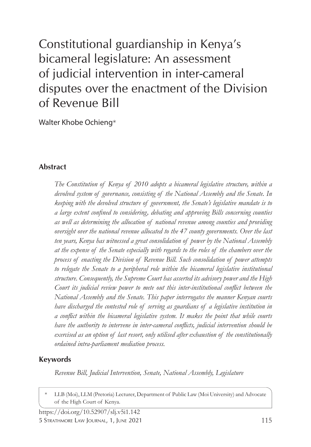# Constitutional guardianship in Kenya's bicameral legislature: An assessment of judicial intervention in inter-cameral disputes over the enactment of the Division of Revenue Bill

Walter Khobe Ochieng\*

# **Abstract**

*The Constitution of Kenya of 2010 adopts a bicameral legislative structure, within a devolved system of governance, consisting of the National Assembly and the Senate. In keeping with the devolved structure of government, the Senate's legislative mandate is to a large extent confined to considering, debating and approving Bills concerning counties as well as determining the allocation of national revenue among counties and providing oversight over the national revenue allocated to the 47 county governments. Over the last ten years, Kenya has witnessed a great consolidation of power by the National Assembly at the expense of the Senate especially with regards to the roles of the chambers over the process of enacting the Division of Revenue Bill. Such consolidation of power attempts to relegate the Senate to a peripheral role within the bicameral legislative institutional structure. Consequently, the Supreme Court has asserted its advisory power and the High Court its judicial review power to mete out this inter-institutional conflict between the National Assembly and the Senate. This paper interrogates the manner Kenyan courts have discharged the contested role of serving as guardians of a legislative institution in a conflict within the bicameral legislative system. It makes the point that while courts have the authority to intervene in inter-cameral conflicts, judicial intervention should be exercised as an option of last resort, only utilised after exhaustion of the constitutionally ordained intra-parliament mediation process.*

# **Keywords**

*Revenue Bill, Judicial Intervention, Senate, National Assembly, Legislature*

LLB (Moi), LLM (Pretoria) Lecturer, Department of Public Law (Moi University) and Advocate of the High Court of Kenya.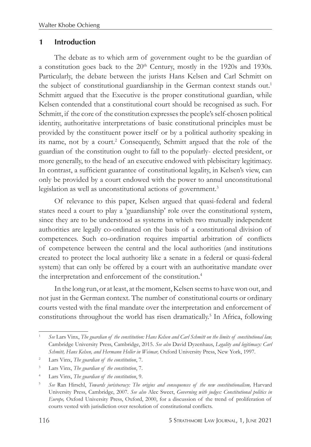#### **1 Introduction**

The debate as to which arm of government ought to be the guardian of a constitution goes back to the  $20<sup>th</sup>$  Century, mostly in the 1920s and 1930s. Particularly, the debate between the jurists Hans Kelsen and Carl Schmitt on the subject of constitutional guardianship in the German context stands out.<sup>1</sup> Schmitt argued that the Executive is the proper constitutional guardian, while Kelsen contended that a constitutional court should be recognised as such. For Schmitt, if the core of the constitution expresses the people's self-chosen political identity, authoritative interpretations of basic constitutional principles must be provided by the constituent power itself or by a political authority speaking in its name, not by a court.<sup>2</sup> Consequently, Schmitt argued that the role of the guardian of the constitution ought to fall to the popularly- elected president, or more generally, to the head of an executive endowed with plebiscitary legitimacy. In contrast, a sufficient guarantee of constitutional legality, in Kelsen's view, can only be provided by a court endowed with the power to annul unconstitutional legislation as well as unconstitutional actions of government.<sup>3</sup>

Of relevance to this paper, Kelsen argued that quasi-federal and federal states need a court to play a 'guardianship' role over the constitutional system, since they are to be understood as systems in which two mutually independent authorities are legally co-ordinated on the basis of a constitutional division of competences. Such co-ordination requires impartial arbitration of conflicts of competence between the central and the local authorities (and institutions created to protect the local authority like a senate in a federal or quasi-federal system) that can only be offered by a court with an authoritative mandate over the interpretation and enforcement of the constitution.<sup>4</sup>

In the long run, or at least, at the moment, Kelsen seems to have won out, and not just in the German context. The number of constitutional courts or ordinary courts vested with the final mandate over the interpretation and enforcement of constitutions throughout the world has risen dramatically.<sup>5</sup> In Africa, following

<sup>1</sup> *See* Lars Vinx, *The guardian of the constitution: Hans Kelsen and Carl Schmitt on the limits of constitutional law,*  Cambridge University Press, Cambridge, 2015. *See also* David Dyzenhaus, *Legality and legitimacy: Carl Schmitt, Hans Kelsen, and Hermann Heller in Weimar,* Oxford University Press, New York, 1997.

<sup>2</sup> Lars Vinx, *The guardian of the constitution*, 7.

<sup>3</sup> Lars Vinx, *The guardian of the constitution*, 7.

<sup>4</sup> Lars Vinx, *The guardian of the constitution*, 9.

<sup>&</sup>lt;sup>5</sup> See Ran Hirschl, *Towards juristocracy: The origins and consequences of the new constitutionalism*, Harvard University Press, Cambridge, 2007. *See also* Alec Sweet, *Governing with judges: Constitutional politics in Europe,* Oxford University Press, Oxford, 2000, for a discussion of the trend of proliferation of courts vested with jurisdiction over resolution of constitutional conflicts.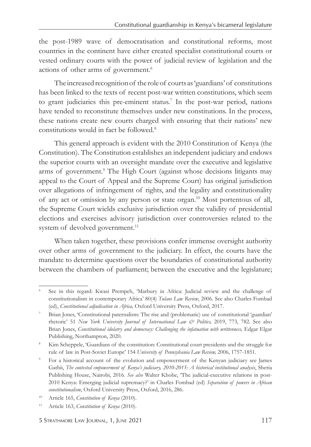the post-1989 wave of democratisation and constitutional reforms, most countries in the continent have either created specialist constitutional courts or vested ordinary courts with the power of judicial review of legislation and the actions of other arms of government.<sup>6</sup>

The increased recognition of the role of courts as 'guardians' of constitutions has been linked to the texts of recent post-war written constitutions, which seem to grant judiciaries this pre-eminent status.<sup>7</sup> In the post-war period, nations have tended to reconstitute themselves under new constitutions. In the process, these nations create new courts charged with ensuring that their nations' new constitutions would in fact be followed.8

This general approach is evident with the 2010 Constitution of Kenya (the Constitution). The Constitution establishes an independent judiciary and endows the superior courts with an oversight mandate over the executive and legislative arms of government.<sup>9</sup> The High Court (against whose decisions litigants may appeal to the Court of Appeal and the Supreme Court) has original jurisdiction over allegations of infringement of rights, and the legality and constitutionality of any act or omission by any person or state organ.10 Most portentous of all, the Supreme Court wields exclusive jurisdiction over the validity of presidential elections and exercises advisory jurisdiction over controversies related to the system of devolved government.<sup>11</sup>

When taken together, these provisions confer immense oversight authority over other arms of government to the judiciary. In effect, the courts have the mandate to determine questions over the boundaries of constitutional authority between the chambers of parliament; between the executive and the legislature;

<sup>6</sup> See in this regard: Kwasi Prempeh, 'Marbury in Africa: Judicial review and the challenge of constitutionalism in contemporary Africa' 80(4) *Tulane Law Review*, 2006. See also Charles Fombad (ed), *Constitutional adjudication in Africa,* Oxford University Press, Oxford, 2017.

<sup>7</sup> Brian Jones, 'Constitutional paternalism: The rise and (problematic) use of constitutional 'guardian' rhetoric' 51 *New York University Journal of International Law & Politics,* 2019, 773, 782. See also Brian Jones, *Constitutional idolatry and democracy: Challenging the infatuation with writtenness*, Edgar Elgar Publishing, Northampton, 2020.

<sup>8</sup> Kim Scheppele, 'Guardians of the constitution: Constitutional court presidents and the struggle for rule of law in Post-Soviet Europe' 154 *University of Pennsylvania Law Review,* 2006, 1757-1851.

<sup>9</sup> For a historical account of the evolution and empowerment of the Kenyan judiciary see James Gathii, *The contested empowerment of Kenya's judiciary, 2010-2015: A historical institutional analysis*, Sheria Publishing House, Nairobi, 2016. *See also* Walter Khobe, 'The judicial-executive relations in post-2010 Kenya: Emerging judicial supremacy?' in Charles Fombad (ed) *Separation of powers in African constitutionalism*, Oxford University Press, Oxford, 2016, 286.

<sup>10</sup> Article 165, *Constitution of Kenya* (2010).

<sup>11</sup> Article 163, *Constitution of Kenya* (2010).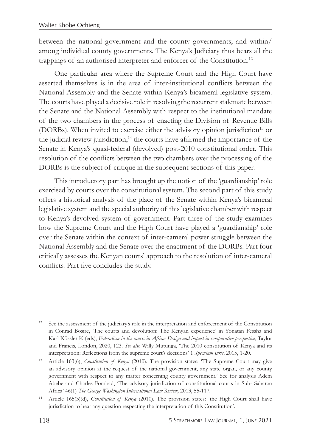between the national government and the county governments; and within/ among individual county governments. The Kenya's Judiciary thus bears all the trappings of an authorised interpreter and enforcer of the Constitution.<sup>12</sup>

One particular area where the Supreme Court and the High Court have asserted themselves is in the area of inter-institutional conflicts between the National Assembly and the Senate within Kenya's bicameral legislative system. The courts have played a decisive role in resolving the recurrent stalemate between the Senate and the National Assembly with respect to the institutional mandate of the two chambers in the process of enacting the Division of Revenue Bills (DORBs). When invited to exercise either the advisory opinion jurisdiction<sup>13</sup> or the judicial review jurisdiction, $14$  the courts have affirmed the importance of the Senate in Kenya's quasi-federal (devolved) post-2010 constitutional order. This resolution of the conflicts between the two chambers over the processing of the DORBs is the subject of critique in the subsequent sections of this paper.

This introductory part has brought up the notion of the 'guardianship' role exercised by courts over the constitutional system. The second part of this study offers a historical analysis of the place of the Senate within Kenya's bicameral legislative system and the special authority of this legislative chamber with respect to Kenya's devolved system of government. Part three of the study examines how the Supreme Court and the High Court have played a 'guardianship' role over the Senate within the context of inter-cameral power struggle between the National Assembly and the Senate over the enactment of the DORBs. Part four critically assesses the Kenyan courts' approach to the resolution of inter-cameral conflicts. Part five concludes the study.

<sup>&</sup>lt;sup>12</sup> See the assessment of the judiciary's role in the interpretation and enforcement of the Constitution in Conrad Bosire, 'The courts and devolution: The Kenyan experience' in Yonatan Fessha and Karl Kössler K (eds), *Federalism in the courts in Africa: Design and impact in comparative perspective*, Taylor and Francis, London, 2020, 123. *See also* Willy Mutunga, 'The 2010 constitution of Kenya and its interpretation: Reflections from the supreme court's decisions' 1 *Speculum Juris*, 2015, 1-20.

<sup>13</sup> Article 163(6), *Constitution of Kenya* (2010). The provision states: 'The Supreme Court may give an advisory opinion at the request of the national government, any state organ, or any county government with respect to any matter concerning county government.' See for analysis Adem Abebe and Charles Fombad, 'The advisory jurisdiction of constitutional courts in Sub- Saharan Africa' 46(1) *The George Washington International Law Review*, 2013, 55-117.

<sup>14</sup> Article 165(3)(d), *Constitution of Kenya* (2010). The provision states: 'the High Court shall have jurisdiction to hear any question respecting the interpretation of this Constitution'.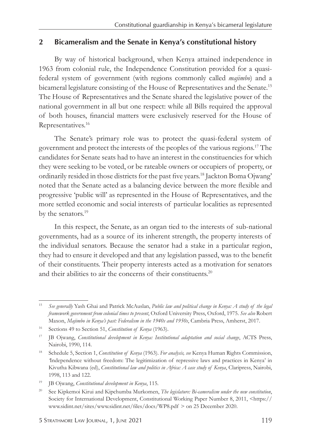#### **2 Bicameralism and the Senate in Kenya's constitutional history**

By way of historical background, when Kenya attained independence in 1963 from colonial rule, the Independence Constitution provided for a quasifederal system of government (with regions commonly called *majimbo*) and a bicameral legislature consisting of the House of Representatives and the Senate.15 The House of Representatives and the Senate shared the legislative power of the national government in all but one respect: while all Bills required the approval of both houses, financial matters were exclusively reserved for the House of Representatives.16

The Senate's primary role was to protect the quasi-federal system of government and protect the interests of the peoples of the various regions.17 The candidates for Senate seats had to have an interest in the constituencies for which they were seeking to be voted, or be rateable owners or occupiers of property, or ordinarily resided in those districts for the past five years.18 Jackton Boma Ojwang' noted that the Senate acted as a balancing device between the more flexible and progressive 'public will' as represented in the House of Representatives, and the more settled economic and social interests of particular localities as represented by the senators.<sup>19</sup>

In this respect, the Senate, as an organ tied to the interests of sub-national governments, had as a source of its inherent strength, the property interests of the individual senators. Because the senator had a stake in a particular region, they had to ensure it developed and that any legislation passed, was to the benefit of their constituents. Their property interests acted as a motivation for senators and their abilities to air the concerns of their constituents.<sup>20</sup>

<sup>15</sup> *See generally* Yash Ghai and Patrick McAuslan, *Public law and political change in Kenya: A study of the legal framework government from colonial times to present*, Oxford University Press, Oxford, 1975. *See also* Robert Maxon, *Majimbo in Kenya's past: Federalism in the 1940s and 1950s*, Cambria Press, Amherst, 2017.

<sup>16</sup> Sections 49 to Section 51, *Constitution of Kenya* (1963).

<sup>17</sup> JB Ojwang, *Constitutional development in Kenya: Institutional adaptation and social change*, ACTS Press, Nairobi, 1990, 114.

<sup>18</sup> Schedule 5, Section 1, *Constitution of Kenya* (1963). *For analysis, see* Kenya Human Rights Commission, *'*Independence without freedom: The legitimization of repressive laws and practices in Kenya' in Kivutha Kibwana (ed), *Constitutional law and politics in Africa: A case study of Kenya*, Claripress, Nairobi, 1998, 113 and 122.

<sup>19</sup> JB Ojwang, *Constitutional development in Kenya*, 115.

<sup>20</sup> See Kipkemoi Kirui and Kipchumba Murkomen, *The legislature: Bi-cameralism under the new constitution*, Society for International Development, Constitutional Working Paper Number 8, 2011, <https:// www.sidint.net/sites/www.sidint.net/files/docs/WP8.pdf > on 25 December 2020.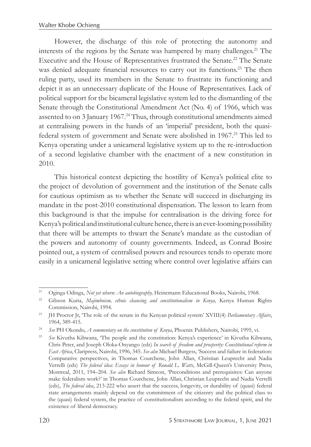However, the discharge of this role of protecting the autonomy and interests of the regions by the Senate was hampered by many challenges.<sup>21</sup> The Executive and the House of Representatives frustrated the Senate.<sup>22</sup> The Senate was denied adequate financial resources to carry out its functions.<sup>23</sup> The then ruling party, used its members in the Senate to frustrate its functioning and depict it as an unnecessary duplicate of the House of Representatives. Lack of political support for the bicameral legislative system led to the dismantling of the Senate through the Constitutional Amendment Act (No. 4) of 1966, which was assented to on 3 January 1967.<sup>24</sup> Thus, through constitutional amendments aimed at centralising powers in the hands of an 'imperial' president, both the quasifederal system of government and Senate were abolished in 1967.25 This led to Kenya operating under a unicameral legislative system up to the re-introduction of a second legislative chamber with the enactment of a new constitution in 2010.

This historical context depicting the hostility of Kenya's political elite to the project of devolution of government and the institution of the Senate calls for cautious optimism as to whether the Senate will succeed in discharging its mandate in the post-2010 constitutional dispensation. The lesson to learn from this background is that the impulse for centralisation is the driving force for Kenya's political and institutional culture hence, there is an ever-looming possibility that there will be attempts to thwart the Senate's mandate as the custodian of the powers and autonomy of county governments. Indeed, as Conrad Bosire pointed out, a system of centralised powers and resources tends to operate more easily in a unicameral legislative setting where control over legislative affairs can

<sup>21</sup> Oginga Odinga, *Not yet uhuru: An autobiography,* Heinemann Educational Books, Nairobi, 1968.

<sup>&</sup>lt;sup>22</sup> Gibson Kuria, *Majimboism, ethnic cleansing and constitutionalism in Kenya, Kenya Human Rights* Commission, Nairobi, 1994.

<sup>23</sup> JH Proctor Jr, 'The role of the senate in the Kenyan political system' XVIII(4) *Parliamentary Affairs*, 1964, 389-415.

<sup>24</sup> *See* PH Okondo, *A commentary on the constitution of Kenya*, Phoenix Publishers, Nairobi, 1995, vi.

<sup>25</sup> *See* Kivutha Kibwana, 'The people and the constitution: Kenya's experience' in Kivutha Kibwana, Chris Peter, and Joseph Oloka-Onyango (eds) *In search of freedom and prosperity: Constitutional reform in East Africa*, Claripress, Nairobi, 1996, 345. *See also* Michael Burgess, 'Success and failure in federation: Comparative perspectives, in Thomas Courchene, John Allan, Christian Leuprecht and Nadia Verrelli (eds) *The federal idea: Essays in honour of Ronald L. Watts*, McGill-Queen's University Press, Montreal, 2011, 194–204. *See also* Richard Simeon, 'Preconditions and prerequisites: Can anyone make federalism work?' in Thomas Courchene, John Allan, Christian Leuprecht and Nadia Verrelli (eds), *The federal idea*, 213-222 who assert that the success, longevity, or durability of (quasi) federal state arrangements mainly depend on the commitment of the citizenry and the political class to the (quasi) federal system, the practice of constitutionalism according to the federal spirit, and the existence of liberal democracy.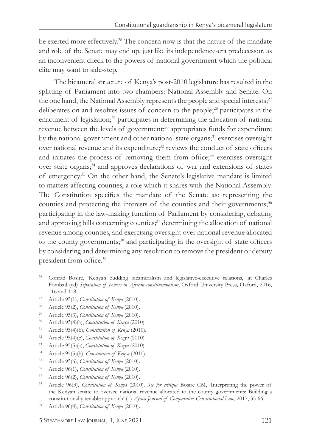be exerted more effectively.<sup>26</sup> The concern now is that the nature of the mandate and role of the Senate may end up, just like its independence-era predecessor, as an inconvenient check to the powers of national government which the political elite may want to side-step.

The bicameral structure of Kenya's post-2010 legislature has resulted in the splitting of Parliament into two chambers: National Assembly and Senate. On the one hand, the National Assembly represents the people and special interests;<sup>27</sup> deliberates on and resolves issues of concern to the people;28 participates in the enactment of legislation;<sup>29</sup> participates in determining the allocation of national revenue between the levels of government;<sup>30</sup> appropriates funds for expenditure by the national government and other national state organs;<sup>31</sup> exercises oversight over national revenue and its expenditure;<sup>32</sup> reviews the conduct of state officers and initiates the process of removing them from office;<sup>33</sup> exercises oversight over state organs;<sup>34</sup> and approves declarations of war and extensions of states of emergency.35 On the other hand, the Senate's legislative mandate is limited to matters affecting counties, a role which it shares with the National Assembly. The Constitution specifies the mandate of the Senate as: representing the counties and protecting the interests of the counties and their governments;<sup>36</sup> participating in the law-making function of Parliament by considering, debating and approving bills concerning counties;<sup>37</sup> determining the allocation of national revenue among counties, and exercising oversight over national revenue allocated to the county governments;<sup>38</sup> and participating in the oversight of state officers by considering and determining any resolution to remove the president or deputy president from office.<sup>39</sup>

- <sup>33</sup> Article 95(5)(a), *Constitution of Kenya* (2010).
- <sup>34</sup> Article 95(5)(b), *Constitution of Kenya* (2010).
- <sup>35</sup> Article 95(6), *Constitution of Kenya* (2010).
- <sup>36</sup> Article 96(1), *Constitution of Kenya* (2010).
- <sup>37</sup> Article 96(2), *Constitution of Kenya* (2010).

<sup>26</sup> Conrad Bosire, 'Kenya's budding bicameralism and legislative-executive relations,' in Charles Fombad (ed) *Separation of powers in African constitutionalism*, Oxford University Press, Oxford, 2016, 116 and 118.

<sup>27</sup> Article 95(1), *Constitution of Kenya* (2010).

<sup>28</sup> Article 95(2), *Constitution of Kenya* (2010).

<sup>29</sup> Article 95(3), *Constitution of Kenya* (2010). 30 Article 95(4)(a), *Constitution of Kenya* (2010).

<sup>31</sup> Article 95(4)(b), *Constitution of Kenya* (2010).

<sup>32</sup> Article 95(4)(c), *Constitution of Kenya* (2010).

<sup>38</sup> Article 96(3), *Constitution of Kenya* (2010). *See for critique* Bosire CM, 'Interpreting the power of the Kenyan senate to oversee national revenue allocated to the county governments: Building a constitutionally tenable approach' (1) *Africa Journal of Comparative Constitutional Law*, 2017, 35-66.

<sup>39</sup> Article 96(4), *Constitution of Kenya* (2010).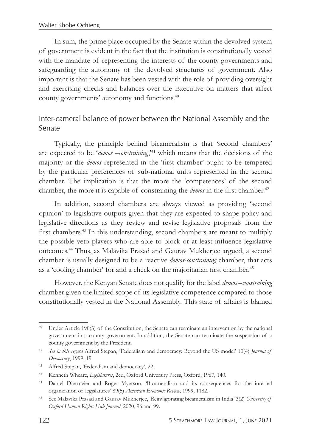In sum, the prime place occupied by the Senate within the devolved system of government is evident in the fact that the institution is constitutionally vested with the mandate of representing the interests of the county governments and safeguarding the autonomy of the devolved structures of government. Also important is that the Senate has been vested with the role of providing oversight and exercising checks and balances over the Executive on matters that affect county governments' autonomy and functions.40

# *Inter-cameral balance of power between the National Assembly and the Senate*

Typically, the principle behind bicameralism is that 'second chambers' are expected to be '*demos –constraining*,'41 which means that the decisions of the majority or the *demos* represented in the 'first chamber' ought to be tempered by the particular preferences of sub-national units represented in the second chamber. The implication is that the more the 'competences' of the second chamber, the more it is capable of constraining the *demos* in the first chamber.<sup>42</sup>

In addition, second chambers are always viewed as providing 'second opinion' to legislative outputs given that they are expected to shape policy and legislative directions as they review and revise legislative proposals from the first chambers.43 In this understanding, second chambers are meant to multiply the possible veto players who are able to block or at least influence legislative outcomes.44 Thus, as Malavika Prasad and Gaurav Mukherjee argued, a second chamber is usually designed to be a reactive *demos*-*constraining* chamber, that acts as a 'cooling chamber' for and a check on the majoritarian first chamber.<sup>45</sup>

However, the Kenyan Senate does not qualify for the label *demos –constraining* chamber given the limited scope of its legislative competence compared to those constitutionally vested in the National Assembly. This state of affairs is blamed

<sup>40</sup> Under Article 190(3) of the Constitution, the Senate can terminate an intervention by the national government in a county government. In addition, the Senate can terminate the suspension of a county government by the President.

<sup>41</sup> *See in this regard* Alfred Stepan, 'Federalism and democracy: Beyond the US model' 10(4) *Journal of Democracy*, 1999, 19.

<sup>42</sup> Alfred Stepan, 'Federalism and democracy', 22.

<sup>43</sup> Kenneth Wheare, *Legislatures*, 2ed, Oxford University Press, Oxford, 1967, 140.

<sup>44</sup> Daniel Diermeier and Roger Myerson, 'Bicameralism and its consequences for the internal organization of legislatures' 89(5) *American Economic Review,* 1999, 1182.

<sup>45</sup> See Malavika Prasad and Gaurav Mukherjee, 'Reinvigorating bicameralism in India' 3(2) *University of Oxford Human Rights Hub Journal*, 2020, 96 and 99.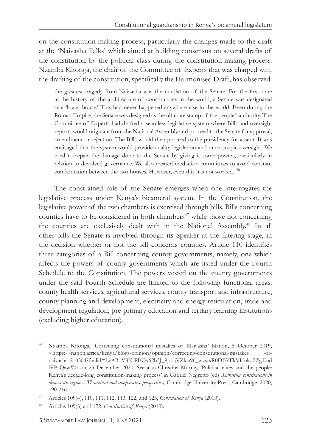on the constitution-making process, particularly the changes made to the draft at the 'Naivasha Talks' which aimed at building consensus on several drafts of the constitution by the political class during the constitution-making process. Nzamba Kitonga, the chair of the Committee of Experts that was charged with the drafting of the constitution, specifically the Harmonised Draft, has observed:

the greatest tragedy from Naivasha was the mutilation of the Senate. For the first time in the history of the architecture of constitutions in the world, a Senate was designated as a 'lower house.' This had never happened anywhere else in the world. Even during the Roman Empire, the Senate was designed as the ultimate stamp of the people's authority. The Committee of Experts had drafted a seamless legislative system where Bills and oversight reports would originate from the National Assembly and proceed to the Senate for approval, amendment or rejection. The Bills would then proceed to the presidency for assent. It was envisaged that the system would provide quality legislation and microscopic oversight. We tried to repair the damage done to the Senate by giving it some powers, particularly in relation to devolved governance. We also created mediation committees to avoid constant confrontation between the two houses. However, even this has not worked. 46

The constrained role of the Senate emerges when one interrogates the legislative process under Kenya's bicameral system. In the Constitution, the legislative power of the two chambers is exercised through bills. Bills concerning counties have to be considered in both chambers<sup>47</sup> while those not concerning the counties are exclusively dealt with in the National Assembly.<sup>48</sup> In all other bills the Senate is involved through its Speaker at the filtering stage, in the decision whether or not the bill concerns counties. Article 110 identifies three categories of a Bill concerning county governments, namely, one which affects the powers of county governments which are listed under the Fourth Schedule to the Constitution. The powers vested on the county governments under the said Fourth Schedule are limited to the following functional areas: county health services, agricultural services, county transport and infrastructure, county planning and development, electricity and energy reticulation, trade and development regulation, pre-primary education and tertiary learning institutions (excluding higher education).

Nzamba Kitonga, 'Correcting constitutional mistakes of Naivasha' Nation, 5 October 2019,  $\kappa$ tttps://nation.africa/kenya/blogs-opinion/opinion/correcting-constitutional-mistakes naivasha -210504?fbclid=IwAR1V8K-PEQx62b3J\_9joojVZkia96\_wzwxR0DBYFkVHnko2Zg End lVPzQaw#> on 25 December 2020. See also Christina Murray, 'Political elites and the people: Kenya's decade-long constitution-making process' in Gabriel Negretto (ed) *Redrafting constitutions in democratic regimes: Theoretical and comparative perspectives*, Cambridge University Press, Cambridge, 2020, 190-216.

<sup>47</sup> Articles 109(4), 110, 111, 112, 113, 122, and 123, *Constitution of Kenya* (2010).

<sup>48</sup> Articles 109(3) and 122, *Constitution of Kenya* (2010).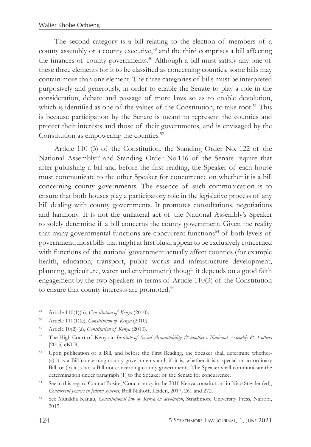The second category is a bill relating to the election of members of a county assembly or a county executive,<sup>49</sup> and the third comprises a bill affecting the finances of county governments.<sup>50</sup> Although a bill must satisfy any one of these three elements for it to be classified as concerning counties, some bills may contain more than one element. The three categories of bills must be interpreted purposively and generously, in order to enable the Senate to play a role in the consideration, debate and passage of more laws so as to enable devolution, which is identified as one of the values of the Constitution, to take root.<sup>51</sup> This is because participation by the Senate is meant to represent the counties and protect their interests and those of their governments, and is envisaged by the Constitution as empowering the counties.<sup>52</sup>

Article 110 (3) of the Constitution, the Standing Order No. 122 of the National Assembly<sup>53</sup> and Standing Order No.116 of the Senate require that after publishing a bill and before the first reading, the Speaker of each house must communicate to the other Speaker for concurrence on whether it is a bill concerning county governments. The essence of such communication is to ensure that both houses play a participatory role in the legislative process of any bill dealing with county governments. It promotes consultations, negotiations and harmony. It is not the unilateral act of the National Assembly's Speaker to solely determine if a bill concerns the county government. Given the reality that many governmental functions are concurrent functions<sup>54</sup> of both levels of government, most bills that might at first blush appear to be exclusively concerned with functions of the national government actually affect counties (for example health, education, transport, public works and infrastructure development, planning, agriculture, water and environment) though it depends on a good faith engagement by the two Speakers in terms of Article 110(3) of the Constitution to ensure that county interests are promoted.55

<sup>49</sup> Article 110(1)(b), *Constitution of Kenya* (2010).

<sup>50</sup> Article 110(1)(c), *Constitution of Kenya* (2010).

<sup>51</sup> Article 10(2) (a), *Constitution of Kenya* (2010).

<sup>52</sup> The High Court of Kenya in *Institute of Social Accountability & another v National Assembly & 4 others* [2015] eKLR.

<sup>53</sup> Upon publication of a Bill, and before the First Reading, the Speaker shall determine whether- (a) it is a Bill concerning county governments and, if it is, whether it is a special or an ordinary Bill, or (b) it is not a Bill not concerning county governments. The Speaker shall communicate the determination under paragraph (1) to the Speaker of the Senate for concurrence.

<sup>54</sup> See in this regard Conrad Bosire, 'Concurrency in the 2010 Kenya constitution' in Nico Steytler (ed), *Concurrent powers in federal systems*, Brill Nijhoff, Leiden, 2017, 261 and 272.

<sup>55</sup> See Mutakha Kangu, *Constitutional law of Kenya on devolution*, Strathmore University Press, Nairobi, 2015.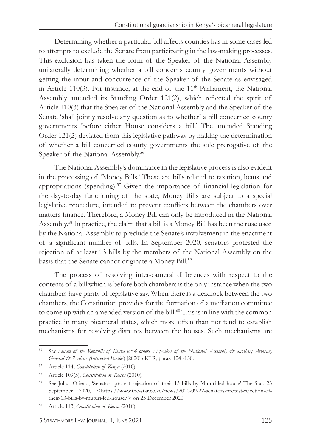Determining whether a particular bill affects counties has in some cases led to attempts to exclude the Senate from participating in the law-making processes. This exclusion has taken the form of the Speaker of the National Assembly unilaterally determining whether a bill concerns county governments without getting the input and concurrence of the Speaker of the Senate as envisaged in Article 110(3). For instance, at the end of the  $11<sup>th</sup>$  Parliament, the National Assembly amended its Standing Order 121(2), which reflected the spirit of Article 110(3) that the Speaker of the National Assembly and the Speaker of the Senate 'shall jointly resolve any question as to whether' a bill concerned county governments 'before either House considers a bill.' The amended Standing Order 121(2) deviated from this legislative pathway by making the determination of whether a bill concerned county governments the sole prerogative of the Speaker of the National Assembly.<sup>56</sup>

The National Assembly's dominance in the legislative process is also evident in the processing of 'Money Bills.' These are bills related to taxation, loans and appropriations (spending).<sup>57</sup> Given the importance of financial legislation for the day-to-day functioning of the state, Money Bills are subject to a special legislative procedure, intended to prevent conflicts between the chambers over matters finance. Therefore, a Money Bill can only be introduced in the National Assembly.58 In practice, the claim that a bill is a Money Bill has been the ruse used by the National Assembly to preclude the Senate's involvement in the enactment of a significant number of bills. In September 2020, senators protested the rejection of at least 13 bills by the members of the National Assembly on the basis that the Senate cannot originate a Money Bill.<sup>59</sup>

The process of resolving inter-cameral differences with respect to the contents of a bill which is before both chambers is the only instance when the two chambers have parity of legislative say. When there is a deadlock between the two chambers, the Constitution provides for the formation of a mediation committee to come up with an amended version of the bill.<sup>60</sup> This is in line with the common practice in many bicameral states, which more often than not tend to establish mechanisms for resolving disputes between the houses. Such mechanisms are

<sup>56</sup> See *Senate of the Republic of Kenya & 4 others v Speaker of the National Assembly & another; Attorney General & 7 others (Interested Parties*) [2020] eKLR, paras. 124 -130.

<sup>57</sup> Article 114, *Constitution of Kenya* (2010).

<sup>58</sup> Article 109(5), *Constitution of Kenya* (2010).

<sup>59</sup> See Julius Otieno, 'Senators protest rejection of their 13 bills by Muturi-led house' The Star, 23 September 2020, <https://www.the-star.co.ke/news/2020-09-22-senators-protest-rejection-oftheir-13-bills-by-muturi-led-house/> on 25 December 2020.

<sup>60</sup> Article 113, *Constitution of Kenya* (2010).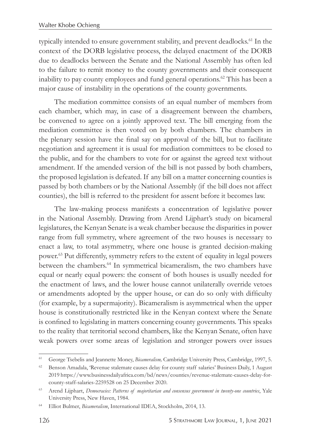typically intended to ensure government stability, and prevent deadlocks.61 In the context of the DORB legislative process, the delayed enactment of the DORB due to deadlocks between the Senate and the National Assembly has often led to the failure to remit money to the county governments and their consequent inability to pay county employees and fund general operations.<sup>62</sup> This has been a major cause of instability in the operations of the county governments.

The mediation committee consists of an equal number of members from each chamber, which may, in case of a disagreement between the chambers, be convened to agree on a jointly approved text. The bill emerging from the mediation committee is then voted on by both chambers. The chambers in the plenary session have the final say on approval of the bill, but to facilitate negotiation and agreement it is usual for mediation committees to be closed to the public, and for the chambers to vote for or against the agreed text without amendment. If the amended version of the bill is not passed by both chambers, the proposed legislation is defeated. If any bill on a matter concerning counties is passed by both chambers or by the National Assembly (if the bill does not affect counties), the bill is referred to the president for assent before it becomes law.

The law-making process manifests a concentration of legislative power in the National Assembly. Drawing from Arend Lijphart's study on bicameral legislatures, the Kenyan Senate is a weak chamber because the disparities in power range from full symmetry, where agreement of the two houses is necessary to enact a law, to total asymmetry, where one house is granted decision-making power.63 Put differently, symmetry refers to the extent of equality in legal powers between the chambers.<sup>64</sup> In symmetrical bicameralism, the two chambers have equal or nearly equal powers: the consent of both houses is usually needed for the enactment of laws, and the lower house cannot unilaterally override vetoes or amendments adopted by the upper house, or can do so only with difficulty (for example, by a supermajority). Bicameralism is asymmetrical when the upper house is constitutionally restricted like in the Kenyan context where the Senate is confined to legislating in matters concerning county governments. This speaks to the reality that territorial second chambers, like the Kenyan Senate, often have weak powers over some areas of legislation and stronger powers over issues

<sup>61</sup> George Tsebelis and Jeannette Money, *Bicameralism,* Cambridge University Press, Cambridge, 1997, 5.

<sup>62</sup> Benson Amadala, 'Revenue stalemate causes delay for county staff salaries' Business Daily, 1 August 2019 https://www.businessdailyafrica.com/bd/news/counties/revenue-stalemate-causes-delay-forcounty-staff-salaries-2259528 on 25 December 2020.

<sup>63</sup> Arend Lijphart, *Democracies: Patterns of majoritarian and consensus government in twenty-one countries*, Yale University Press, New Haven, 1984.

<sup>64</sup> Elliot Bulmer, *Bicameralism*, International IDEA, Stockholm, 2014, 13.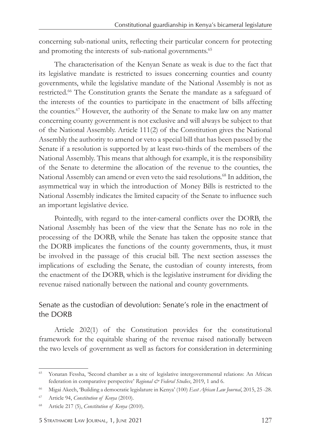concerning sub-national units, reflecting their particular concern for protecting and promoting the interests of sub-national governments.<sup>65</sup>

The characterisation of the Kenyan Senate as weak is due to the fact that its legislative mandate is restricted to issues concerning counties and county governments, while the legislative mandate of the National Assembly is not as restricted.66 The Constitution grants the Senate the mandate as a safeguard of the interests of the counties to participate in the enactment of bills affecting the counties.67 However, the authority of the Senate to make law on any matter concerning county government is not exclusive and will always be subject to that of the National Assembly. Article 111(2) of the Constitution gives the National Assembly the authority to amend or veto a special bill that has been passed by the Senate if a resolution is supported by at least two-thirds of the members of the National Assembly. This means that although for example, it is the responsibility of the Senate to determine the allocation of the revenue to the counties, the National Assembly can amend or even veto the said resolutions.<sup>68</sup> In addition, the asymmetrical way in which the introduction of Money Bills is restricted to the National Assembly indicates the limited capacity of the Senate to influence such an important legislative device.

Pointedly, with regard to the inter-cameral conflicts over the DORB, the National Assembly has been of the view that the Senate has no role in the processing of the DORB, while the Senate has taken the opposite stance that the DORB implicates the functions of the county governments, thus, it must be involved in the passage of this crucial bill. The next section assesses the implications of excluding the Senate, the custodian of county interests, from the enactment of the DORB, which is the legislative instrument for dividing the revenue raised nationally between the national and county governments.

# Senate as the custodian of devolution: Senate's role in the enactment of *the DORB*

Article 202(1) of the Constitution provides for the constitutional framework for the equitable sharing of the revenue raised nationally between the two levels of government as well as factors for consideration in determining

<sup>65</sup> Yonatan Fessha, 'Second chamber as a site of legislative intergovernmental relations: An African federation in comparative perspective' *Regional & Federal Studies*, 2019, 1 and 6.

<sup>66</sup> Migai Akech, 'Building a democratic legislature in Kenya' (100) *East African Law Journal*, 2015, 25 -28.

<sup>67</sup> Article 94, *Constitution of Kenya* (2010).

<sup>68</sup> Article 217 (5), *Constitution of Kenya* (2010).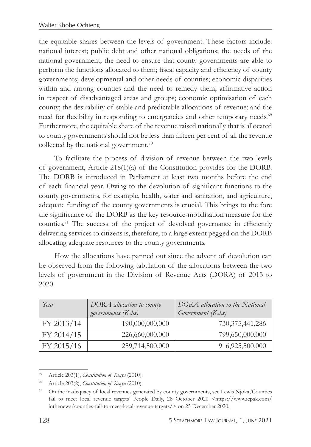the equitable shares between the levels of government. These factors include: national interest; public debt and other national obligations; the needs of the national government; the need to ensure that county governments are able to perform the functions allocated to them; fiscal capacity and efficiency of county governments; developmental and other needs of counties; economic disparities within and among counties and the need to remedy them; affirmative action in respect of disadvantaged areas and groups; economic optimisation of each county; the desirability of stable and predictable allocations of revenue; and the need for flexibility in responding to emergencies and other temporary needs.<sup>69</sup> Furthermore, the equitable share of the revenue raised nationally that is allocated to county governments should not be less than fifteen per cent of all the revenue collected by the national government.<sup>70</sup>

To facilitate the process of division of revenue between the two levels of government, Article 218(1)(a) of the Constitution provides for the DORB. The DORB is introduced in Parliament at least two months before the end of each financial year. Owing to the devolution of significant functions to the county governments, for example, health, water and sanitation, and agriculture, adequate funding of the county governments is crucial. This brings to the fore the significance of the DORB as the key resource-mobilisation measure for the counties.71 The success of the project of devolved governance in efficiently delivering services to citizens is, therefore, to a large extent pegged on the DORB allocating adequate resources to the county governments.

How the allocations have panned out since the advent of devolution can be observed from the following tabulation of the allocations between the two levels of government in the Division of Revenue Acts (DORA) of 2013 to 2020.

| Year       | DORA allocation to county<br>governments (Kshs) | DORA allocation to the National<br>Government (Kshs) |
|------------|-------------------------------------------------|------------------------------------------------------|
| FY 2013/14 | 190,000,000,000                                 | 730, 375, 441, 286                                   |
| FY 2014/15 | 226,660,000,000                                 | 799,650,000,000                                      |
| FY 2015/16 | 259,714,500,000                                 | 916,925,500,000                                      |

<sup>69</sup> Article 203(1), *Constitution of Kenya* (2010).

<sup>70</sup> Article 203(2), *Constitution of Kenya* (2010).

<sup>&</sup>lt;sup>71</sup> On the inadequacy of local revenues generated by county governments, see Lewis Njoka, Counties fail to meet local revenue targets' People Daily, 28 October 2020 <https://www.icpak.com/ inthenews/counties-fail-to-meet-local-revenue-targets/> on 25 December 2020.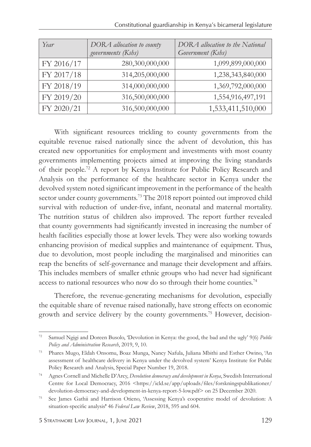| Year       | DORA allocation to county<br>governments (Kshs) | DORA allocation to the National<br>Government (Kshs) |
|------------|-------------------------------------------------|------------------------------------------------------|
| FY 2016/17 | 280,300,000,000                                 | 1,099,899,000,000                                    |
| FY 2017/18 | 314,205,000,000                                 | 1,238,343,840,000                                    |
| FY 2018/19 | 314,000,000,000                                 | 1,369,792,000,000                                    |
| FY 2019/20 | 316,500,000,000                                 | 1,554,916,497,191                                    |
| FY 2020/21 | 316,500,000,000                                 | 1,533,411,510,000                                    |

With significant resources trickling to county governments from the equitable revenue raised nationally since the advent of devolution, this has created new opportunities for employment and investments with most county governments implementing projects aimed at improving the living standards of their people.72 A report by Kenya Institute for Public Policy Research and Analysis on the performance of the healthcare sector in Kenya under the devolved system noted significant improvement in the performance of the health sector under county governments.<sup>73</sup> The 2018 report pointed out improved child survival with reduction of under-five, infant, neonatal and maternal mortality. The nutrition status of children also improved. The report further revealed that county governments had significantly invested in increasing the number of health facilities especially those at lower levels. They were also working towards enhancing provision of medical supplies and maintenance of equipment. Thus, due to devolution, most people including the marginalised and minorities can reap the benefits of self-governance and manage their development and affairs. This includes members of smaller ethnic groups who had never had significant access to national resources who now do so through their home counties.<sup>74</sup>

Therefore, the revenue-generating mechanisms for devolution, especially the equitable share of revenue raised nationally, have strong effects on economic growth and service delivery by the county governments.75 However, decision-

<sup>72</sup> Samuel Ngigi and Doreen Busolo, 'Devolution in Kenya: the good, the bad and the ugly' 9(6) *Public Policy and Administration Research*, 2019, 9, 10.

<sup>73</sup> Phares Mugo, Eldah Onsomu, Boaz Munga, Nancy Nafula, Juliana Mbithi and Esther Owino, 'An assessment of healthcare delivery in Kenya under the devolved system' Kenya Institute for Public Policy Research and Analysis, Special Paper Number 19, 2018.

<sup>74</sup> Agnes Cornell and Michelle D'Arcy, *Devolution democracy and development in Kenya*, Swedish International Centre for Local Democracy, 2016 <https://icld.se/app/uploads/files/forskningspublikationer/ devolution-democracy-and-development-in-kenya-report-5-low.pdf> on 25 December 2020.

<sup>75</sup> See James Gathii and Harrison Otieno, 'Assessing Kenya's cooperative model of devolution: A situation-specific analysis**'** 46 *Federal Law Review*, 2018, 595 and 604.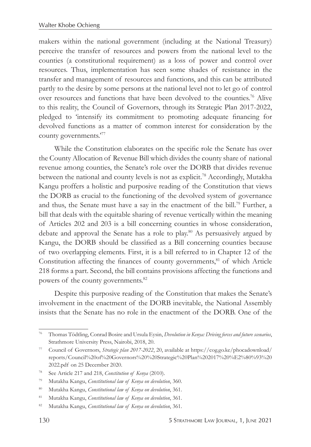makers within the national government (including at the National Treasury) perceive the transfer of resources and powers from the national level to the counties (a constitutional requirement) as a loss of power and control over resources. Thus, implementation has seen some shades of resistance in the transfer and management of resources and functions, and this can be attributed partly to the desire by some persons at the national level not to let go of control over resources and functions that have been devolved to the counties.76 Alive to this reality, the Council of Governors, through its Strategic Plan 2017-2022, pledged to 'intensify its commitment to promoting adequate financing for devolved functions as a matter of common interest for consideration by the county governments.'77

While the Constitution elaborates on the specific role the Senate has over the County Allocation of Revenue Bill which divides the county share of national revenue among counties, the Senate's role over the DORB that divides revenue between the national and county levels is not as explicit.<sup>78</sup> Accordingly, Mutakha Kangu proffers a holistic and purposive reading of the Constitution that views the DORB as crucial to the functioning of the devolved system of governance and thus, the Senate must have a say in the enactment of the bill.<sup>79</sup> Further, a bill that deals with the equitable sharing of revenue vertically within the meaning of Articles 202 and 203 is a bill concerning counties in whose consideration, debate and approval the Senate has a role to play.80 As persuasively argued by Kangu, the DORB should be classified as a Bill concerning counties because of two overlapping elements. First, it is a bill referred to in Chapter 12 of the Constitution affecting the finances of county governments, $81$  of which Article 218 forms a part. Second, the bill contains provisions affecting the functions and powers of the county governments.<sup>82</sup>

Despite this purposive reading of the Constitution that makes the Senate's involvement in the enactment of the DORB inevitable, the National Assembly insists that the Senate has no role in the enactment of the DORB. One of the

<sup>76</sup> Thomas Tödtling, Conrad Bosire and Ursula Eysin, *Devolution in Kenya: Driving forces and future scenarios*, Strathmore University Press, Nairobi, 2018, 20.

<sup>77</sup> Council of Governors, *Strategic plan 2017-2022*, 20, available at https://cog.go.ke/phocadownload/ reports/Council%20of%20Governors%20%20Strategic%20Plan%202017%20%E2%80%93%20 2022.pdf on 25 December 2020.

<sup>78</sup> See Article 217 and 218, *Constitution of Kenya* (2010).

<sup>79</sup> Mutakha Kangu, *Constitutional law of Kenya on devolution*, 360.

<sup>80</sup> Mutakha Kangu, *Constitutional law of Kenya on devolution*, 361.

<sup>81</sup> Mutakha Kangu, *Constitutional law of Kenya on devolution*, 361.

<sup>82</sup> Mutakha Kangu, *Constitutional law of Kenya on devolution*, 361.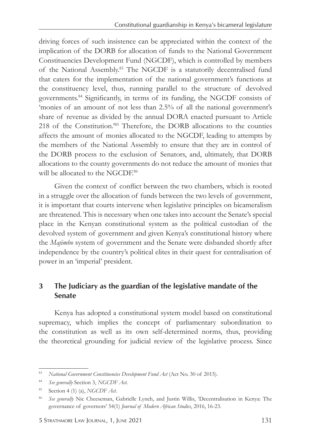driving forces of such insistence can be appreciated within the context of the implication of the DORB for allocation of funds to the National Government Constituencies Development Fund (NGCDF), which is controlled by members of the National Assembly.83 The NGCDF is a statutorily decentralised fund that caters for the implementation of the national government's functions at the constituency level, thus, running parallel to the structure of devolved governments.84 Significantly, in terms of its funding, the NGCDF consists of 'monies of an amount of not less than 2.5% of all the national government's share of revenue as divided by the annual DORA enacted pursuant to Article 218 of the Constitution.'85 Therefore, the DORB allocations to the counties affects the amount of monies allocated to the NGCDF, leading to attempts by the members of the National Assembly to ensure that they are in control of the DORB process to the exclusion of Senators, and, ultimately, that DORB allocations to the county governments do not reduce the amount of monies that will be allocated to the NGCDE<sup>86</sup>

Given the context of conflict between the two chambers, which is rooted in a struggle over the allocation of funds between the two levels of government, it is important that courts intervene when legislative principles on bicameralism are threatened. This is necessary when one takes into account the Senate's special place in the Kenyan constitutional system as the political custodian of the devolved system of government and given Kenya's constitutional history where the *Majimbo* system of government and the Senate were disbanded shortly after independence by the country's political elites in their quest for centralisation of power in an 'imperial' president.

# **3 The Judiciary as the guardian of the legislative mandate of the Senate**

Kenya has adopted a constitutional system model based on constitutional supremacy, which implies the concept of parliamentary subordination to the constitution as well as its own self-determined norms, thus, providing the theoretical grounding for judicial review of the legislative process. Since

<sup>83</sup> *National Government Constituencies Development Fund Act* (Act No. 30 of 2015).

<sup>84</sup> *See generally* Section 3, *NGCDF Act*.

<sup>85</sup> Section 4 (1) (a), *NGCDF Act*.

<sup>86</sup> *See generally* Nic Cheeseman, Gabrielle Lynch, and Justin Willis, 'Decentralisation in Kenya: The governance of governors' 54(1) *Journal of Modern African Studies*, 2016, 16-23.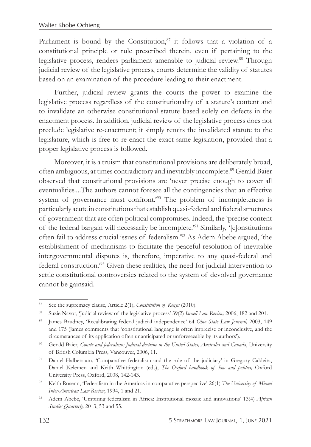Parliament is bound by the Constitution, $87$  it follows that a violation of a constitutional principle or rule prescribed therein, even if pertaining to the legislative process, renders parliament amenable to judicial review.<sup>88</sup> Through judicial review of the legislative process, courts determine the validity of statutes based on an examination of the procedure leading to their enactment.

Further, judicial review grants the courts the power to examine the legislative process regardless of the constitutionality of a statute's content and to invalidate an otherwise constitutional statute based solely on defects in the enactment process. In addition, judicial review of the legislative process does not preclude legislative re-enactment; it simply remits the invalidated statute to the legislature, which is free to re-enact the exact same legislation, provided that a proper legislative process is followed.

Moreover, it is a truism that constitutional provisions are deliberately broad, often ambiguous, at times contradictory and inevitably incomplete.89 Gerald Baier observed that constitutional provisions are 'never precise enough to cover all eventualities....The authors cannot foresee all the contingencies that an effective system of governance must confront.<sup>'90</sup> The problem of incompleteness is particularly acute in constitutions that establish quasi-federal and federal structures of government that are often political compromises. Indeed, the 'precise content of the federal bargain will necessarily be incomplete.<sup>'91</sup> Similarly, '[c]onstitutions often fail to address crucial issues of federalism.'92 As Adem Abebe argued, 'the establishment of mechanisms to facilitate the peaceful resolution of inevitable intergovernmental disputes is, therefore, imperative to any quasi-federal and federal construction.'93 Given these realities, the need for judicial intervention to settle constitutional controversies related to the system of devolved governance cannot be gainsaid.

<sup>87</sup> See the supremacy clause, Article 2(1), *Constitution of Kenya* (2010).

<sup>88</sup> Suzie Navot, 'Judicial review of the legislative process' 39(2) *Israeli Law Review,* 2006, 182 and 201.

<sup>89</sup> James Brudney, 'Recalibrating federal judicial independence' 64 *Ohio State Law Journal,* 2003, 149 and 175 (James comments that 'constitutional language is often imprecise or inconclusive, and the circumstances of its application often unanticipated or unforeseeable by its authors').

<sup>90</sup> Gerald Baier, *Courts and federalism: Judicial doctrine in the United States, Australia and Canada*, University of British Columbia Press, Vancouver, 2006, 11.

<sup>&</sup>lt;sup>91</sup> Daniel Halberstam, 'Comparative federalism and the role of the judiciary' in Gregory Caldeira, Daniel Kelemen and Keith Whittington (eds), *The Oxford handbook of law and politics,* Oxford University Press, Oxford, 2008, 142-143.

<sup>92</sup> Keith Rosenn, 'Federalism in the Americas in comparative perspective' 26(1) *The University of Miami Inter-American Law Review*, 1994, 1 and 21.

<sup>93</sup> Adem Abebe, 'Umpiring federalism in Africa: Institutional mosaic and innovations' 13(4) *African Studies Quarterly,* 2013, 53 and 55.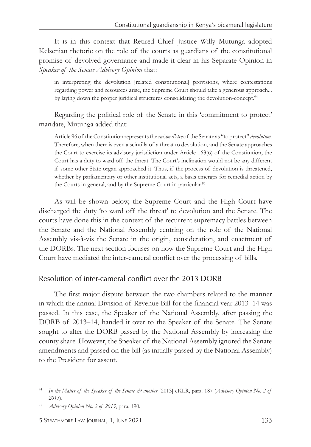It is in this context that Retired Chief Justice Willy Mutunga adopted Kelsenian rhetoric on the role of the courts as guardians of the constitutional promise of devolved governance and made it clear in his Separate Opinion in *Speaker of the Senate Advisory Opinion* that:

in interpreting the devolution [related constitutional] provisions, where contestations regarding power and resources arise, the Supreme Court should take a generous approach... by laying down the proper juridical structures consolidating the devolution-concept.<sup>94</sup>

Regarding the political role of the Senate in this 'commitment to protect' mandate, Mutunga added that:

Article 96 of the Constitution represents the *raison d'etre* of the Senate as "to protect" *devolution*. Therefore, when there is even a scintilla of a threat to devolution, and the Senate approaches the Court to exercise its advisory jurisdiction under Article 163(6) of the Constitution, the Court has a duty to ward off the threat. The Court's inclination would not be any different if some other State organ approached it. Thus, if the process of devolution is threatened, whether by parliamentary or other institutional acts, a basis emerges for remedial action by the Courts in general, and by the Supreme Court in particular.<sup>95</sup>

As will be shown below, the Supreme Court and the High Court have discharged the duty 'to ward off the threat' to devolution and the Senate. The courts have done this in the context of the recurrent supremacy battles between the Senate and the National Assembly centring on the role of the National Assembly vis-à-vis the Senate in the origin, consideration, and enactment of the DORBs. The next section focuses on how the Supreme Court and the High Court have mediated the inter-cameral conflict over the processing of bills.

#### *Resolution of inter-cameral conflict over the 2013 DORB*

The first major dispute between the two chambers related to the manner in which the annual Division of Revenue Bill for the financial year 2013–14 was passed. In this case, the Speaker of the National Assembly, after passing the DORB of 2013–14, handed it over to the Speaker of the Senate. The Senate sought to alter the DORB passed by the National Assembly by increasing the county share. However, the Speaker of the National Assembly ignored the Senate amendments and passed on the bill (as initially passed by the National Assembly) to the President for assent.

<sup>&</sup>lt;sup>94</sup> In the Matter of the Speaker of the Senate & another [2013] eKLR, para. 187 (Advisory Opinion No. 2 of *2013*).

<sup>95</sup> *Advisory Opinion No. 2 of 2013*, para. 190.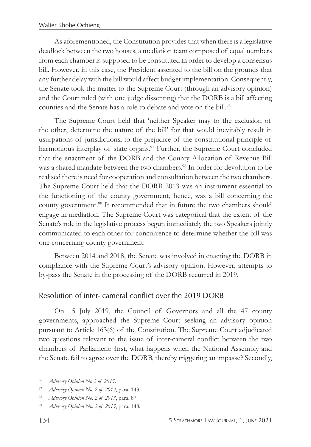As aforementioned, the Constitution provides that when there is a legislative deadlock between the two houses, a mediation team composed of equal numbers from each chamber is supposed to be constituted in order to develop a consensus bill. However, in this case, the President assented to the bill on the grounds that any further delay with the bill would affect budget implementation. Consequently, the Senate took the matter to the Supreme Court (through an advisory opinion) and the Court ruled (with one judge dissenting) that the DORB is a bill affecting counties and the Senate has a role to debate and vote on the bill.<sup>96</sup>

The Supreme Court held that 'neither Speaker may to the exclusion of the other, determine the nature of the bill' for that would inevitably result in usurpations of jurisdictions, to the prejudice of the constitutional principle of harmonious interplay of state organs.<sup>97</sup> Further, the Supreme Court concluded that the enactment of the DORB and the County Allocation of Revenue Bill was a shared mandate between the two chambers.<sup>98</sup> In order for devolution to be realised there is need for cooperation and consultation between the two chambers. The Supreme Court held that the DORB 2013 was an instrument essential to the functioning of the county government, hence, was a bill concerning the county government.<sup>99</sup> It recommended that in future the two chambers should engage in mediation. The Supreme Court was categorical that the extent of the Senate's role in the legislative process begun immediately the two Speakers jointly communicated to each other for concurrence to determine whether the bill was one concerning county government.

Between 2014 and 2018, the Senate was involved in enacting the DORB in compliance with the Supreme Court's advisory opinion. However, attempts to by-pass the Senate in the processing of the DORB recurred in 2019.

# *Resolution of inter- cameral conflict over the 2019 DORB*

On 15 July 2019, the Council of Governors and all the 47 county governments, approached the Supreme Court seeking an advisory opinion pursuant to Article 163(6) of the Constitution. The Supreme Court adjudicated two questions relevant to the issue of inter-cameral conflict between the two chambers of Parliament: first, what happens when the National Assembly and the Senate fail to agree over the DORB, thereby triggering an impasse? Secondly,

<sup>96</sup> *Advisory Opinion No 2 of 2013*.

<sup>97</sup> *Advisory Opinion No. 2 of 2013*, para. 143.

<sup>98</sup> *Advisory Opinion No. 2 of 2013*, para. 87.

<sup>99</sup> *Advisory Opinion No. 2 of 2013*, para. 148.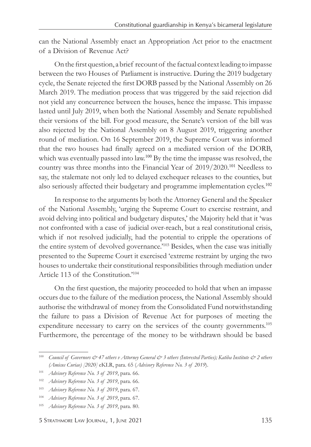can the National Assembly enact an Appropriation Act prior to the enactment of a Division of Revenue Act?

On the first question, a brief recount of the factual context leading to impasse between the two Houses of Parliament is instructive. During the 2019 budgetary cycle, the Senate rejected the first DORB passed by the National Assembly on 26 March 2019. The mediation process that was triggered by the said rejection did not yield any concurrence between the houses, hence the impasse. This impasse lasted until July 2019, when both the National Assembly and Senate republished their versions of the bill. For good measure, the Senate's version of the bill was also rejected by the National Assembly on 8 August 2019, triggering another round of mediation. On 16 September 2019, the Supreme Court was informed that the two houses had finally agreed on a mediated version of the DORB, which was eventually passed into law.<sup>100</sup> By the time the impasse was resolved, the country was three months into the Financial Year of 2019/2020.<sup>101</sup> Needless to say, the stalemate not only led to delayed exchequer releases to the counties, but also seriously affected their budgetary and programme implementation cycles.<sup>102</sup>

In response to the arguments by both the Attorney General and the Speaker of the National Assembly, 'urging the Supreme Court to exercise restraint, and avoid delving into political and budgetary disputes,' the Majority held that it 'was not confronted with a case of judicial over-reach, but a real constitutional crisis, which if not resolved judicially, had the potential to cripple the operations of the entire system of devolved governance.'103 Besides, when the case was initially presented to the Supreme Court it exercised 'extreme restraint by urging the two houses to undertake their constitutional responsibilities through mediation under Article 113 of the Constitution.'104

On the first question, the majority proceeded to hold that when an impasse occurs due to the failure of the mediation process, the National Assembly should authorise the withdrawal of money from the Consolidated Fund notwithstanding the failure to pass a Division of Revenue Act for purposes of meeting the expenditure necessary to carry on the services of the county governments.105 Furthermore, the percentage of the money to be withdrawn should be based

<sup>&</sup>lt;sup>100</sup> *Council of Governors*  $\dot{\mathcal{O}}$  *47 others v Attorney General*  $\dot{\mathcal{O}}$  *3 others (Interested Parties); Katiba Institute*  $\dot{\mathcal{O}}$  *2 others (Amicus Curiae) [2020]* eKLR, para. 65 (*Advisory Reference No. 3 of 2019*).

<sup>101</sup> *Advisory Reference No. 3 of 2019*, para. 66.

<sup>102</sup> *Advisory Reference No. 3 of 2019*, para. 66.

<sup>103</sup> *Advisory Reference No. 3 of 2019*, para. 67.

<sup>104</sup> *Advisory Reference No. 3 of 2019*, para. 67.

<sup>105</sup> *Advisory Reference No. 3 of 2019*, para. 80.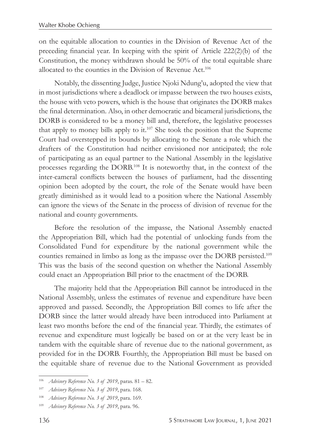on the equitable allocation to counties in the Division of Revenue Act of the preceding financial year. In keeping with the spirit of Article 222(2)(b) of the Constitution, the money withdrawn should be 50% of the total equitable share allocated to the counties in the Division of Revenue Act.<sup>106</sup>

Notably, the dissenting Judge, Justice Njoki Ndung'u, adopted the view that in most jurisdictions where a deadlock or impasse between the two houses exists, the house with veto powers, which is the house that originates the DORB makes the final determination. Also, in other democratic and bicameral jurisdictions, the DORB is considered to be a money bill and, therefore, the legislative processes that apply to money bills apply to it.107 She took the position that the Supreme Court had overstepped its bounds by allocating to the Senate a role which the drafters of the Constitution had neither envisioned nor anticipated; the role of participating as an equal partner to the National Assembly in the legislative processes regarding the DORB.108 It is noteworthy that, in the context of the inter-cameral conflicts between the houses of parliament, had the dissenting opinion been adopted by the court, the role of the Senate would have been greatly diminished as it would lead to a position where the National Assembly can ignore the views of the Senate in the process of division of revenue for the national and county governments.

Before the resolution of the impasse, the National Assembly enacted the Appropriation Bill, which had the potential of unlocking funds from the Consolidated Fund for expenditure by the national government while the counties remained in limbo as long as the impasse over the DORB persisted.109 This was the basis of the second question on whether the National Assembly could enact an Appropriation Bill prior to the enactment of the DORB.

The majority held that the Appropriation Bill cannot be introduced in the National Assembly, unless the estimates of revenue and expenditure have been approved and passed. Secondly, the Appropriation Bill comes to life after the DORB since the latter would already have been introduced into Parliament at least two months before the end of the financial year. Thirdly, the estimates of revenue and expenditure must logically be based on or at the very least be in tandem with the equitable share of revenue due to the national government, as provided for in the DORB. Fourthly, the Appropriation Bill must be based on the equitable share of revenue due to the National Government as provided

<sup>106</sup> *Advisory Reference No. 3 of 2019*, paras. 81 – 82.

<sup>107</sup> *Advisory Reference No. 3 of 2019*, para. 168.

<sup>108</sup> *Advisory Reference No. 3 of 2019*, para. 169.

<sup>109</sup> *Advisory Reference No. 3 of 2019*, para. 96.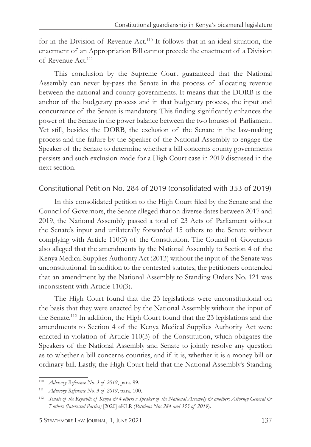for in the Division of Revenue Act.110 It follows that in an ideal situation, the enactment of an Appropriation Bill cannot precede the enactment of a Division of Revenue Act.<sup>111</sup>

This conclusion by the Supreme Court guaranteed that the National Assembly can never by-pass the Senate in the process of allocating revenue between the national and county governments. It means that the DORB is the anchor of the budgetary process and in that budgetary process, the input and concurrence of the Senate is mandatory. This finding significantly enhances the power of the Senate in the power balance between the two houses of Parliament. Yet still, besides the DORB, the exclusion of the Senate in the law-making process and the failure by the Speaker of the National Assembly to engage the Speaker of the Senate to determine whether a bill concerns county governments persists and such exclusion made for a High Court case in 2019 discussed in the next section.

## *Constitutional Petition No. 284 of 2019 (consolidated with 353 of 2019)*

In this consolidated petition to the High Court filed by the Senate and the Council of Governors, the Senate alleged that on diverse dates between 2017 and 2019, the National Assembly passed a total of 23 Acts of Parliament without the Senate's input and unilaterally forwarded 15 others to the Senate without complying with Article 110(3) of the Constitution. The Council of Governors also alleged that the amendments by the National Assembly to Section 4 of the Kenya Medical Supplies Authority Act (2013) without the input of the Senate was unconstitutional. In addition to the contested statutes, the petitioners contended that an amendment by the National Assembly to Standing Orders No. 121 was inconsistent with Article 110(3).

The High Court found that the 23 legislations were unconstitutional on the basis that they were enacted by the National Assembly without the input of the Senate.112 In addition, the High Court found that the 23 legislations and the amendments to Section 4 of the Kenya Medical Supplies Authority Act were enacted in violation of Article 110(3) of the Constitution, which obligates the Speakers of the National Assembly and Senate to jointly resolve any question as to whether a bill concerns counties, and if it is, whether it is a money bill or ordinary bill. Lastly, the High Court held that the National Assembly's Standing

<sup>110</sup> *Advisory Reference No. 3 of 2019*, para. 99.

<sup>111</sup> *Advisory Reference No. 3 of 2019*, para. 100.

<sup>&</sup>lt;sup>112</sup> *Senate of the Republic of Kenya*  $\dot{\mathcal{O}}$  *4 others v Speaker of the National Assembly*  $\dot{\mathcal{O}}$  *another; Attorney General*  $\dot{\mathcal{O}}$ *7 others (Interested Parties)* [2020] eKLR (*Petitions Nos 284 and 353 of 2019*).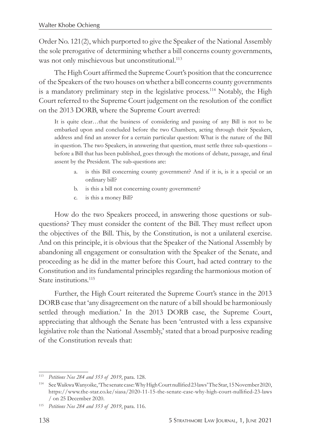Order No. 121(2), which purported to give the Speaker of the National Assembly the sole prerogative of determining whether a bill concerns county governments, was not only mischievous but unconstitutional.<sup>113</sup>

The High Court affirmed the Supreme Court's position that the concurrence of the Speakers of the two houses on whether a bill concerns county governments is a mandatory preliminary step in the legislative process.<sup>114</sup> Notably, the High Court referred to the Supreme Court judgement on the resolution of the conflict on the 2013 DORB, where the Supreme Court averred:

It is quite clear…that the business of considering and passing of any Bill is not to be embarked upon and concluded before the two Chambers, acting through their Speakers, address and find an answer for a certain particular question: What is the nature of the Bill in question. The two Speakers, in answering that question, must settle three sub-questions – before a Bill that has been published, goes through the motions of debate, passage, and final assent by the President. The sub-questions are:

- a. is this Bill concerning county government? And if it is, is it a special or an ordinary bill?
- b. is this a bill not concerning county government?
- c. is this a money Bill?

How do the two Speakers proceed, in answering those questions or subquestions? They must consider the content of the Bill. They must reflect upon the objectives of the Bill. This, by the Constitution, is not a unilateral exercise. And on this principle, it is obvious that the Speaker of the National Assembly by abandoning all engagement or consultation with the Speaker of the Senate, and proceeding as he did in the matter before this Court, had acted contrary to the Constitution and its fundamental principles regarding the harmonious motion of State institutions.<sup>115</sup>

Further, the High Court reiterated the Supreme Court's stance in the 2013 DORB case that 'any disagreement on the nature of a bill should be harmoniously settled through mediation.' In the 2013 DORB case, the Supreme Court, appreciating that although the Senate has been 'entrusted with a less expansive legislative role than the National Assembly,' stated that a broad purposive reading of the Constitution reveals that:

<sup>113</sup> *Petitions Nos 284 and 353 of 2019*, para. 128.

<sup>114</sup> See Waikwa Wanyoike, 'The senate case: Why High Court nullified 23 laws' The Star, 15 November 2020, https://www.the-star.co.ke/siasa/2020-11-15-the-senate-case-why-high-court-nullified-23-laws / on 25 December 2020.

<sup>115</sup> *Petitions Nos 284 and 353 of 2019*, para. 116.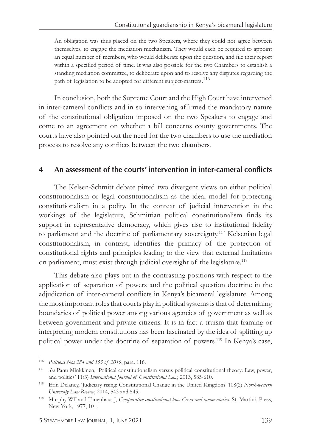An obligation was thus placed on the two Speakers, where they could not agree between themselves, to engage the mediation mechanism. They would each be required to appoint an equal number of members, who would deliberate upon the question, and file their report within a specified period of time. It was also possible for the two Chambers to establish a standing mediation committee, to deliberate upon and to resolve any disputes regarding the path of legislation to be adopted for different subject-matters.<sup>116</sup>

In conclusion, both the Supreme Court and the High Court have intervened in inter-cameral conflicts and in so intervening affirmed the mandatory nature of the constitutional obligation imposed on the two Speakers to engage and come to an agreement on whether a bill concerns county governments. The courts have also pointed out the need for the two chambers to use the mediation process to resolve any conflicts between the two chambers.

#### **4 An assessment of the courts' intervention in inter-cameral conflicts**

The Kelsen-Schmitt debate pitted two divergent views on either political constitutionalism or legal constitutionalism as the ideal model for protecting constitutionalism in a polity. In the context of judicial intervention in the workings of the legislature, Schmittian political constitutionalism finds its support in representative democracy, which gives rise to institutional fidelity to parliament and the doctrine of parliamentary sovereignty.<sup>117</sup> Kelsenian legal constitutionalism, in contrast, identifies the primacy of the protection of constitutional rights and principles leading to the view that external limitations on parliament, must exist through judicial oversight of the legislature.<sup>118</sup>

This debate also plays out in the contrasting positions with respect to the application of separation of powers and the political question doctrine in the adjudication of inter-cameral conflicts in Kenya's bicameral legislature. Among the most important roles that courts play in political systems is that of determining boundaries of political power among various agencies of government as well as between government and private citizens. It is in fact a truism that framing or interpreting modern constitutions has been fascinated by the idea of splitting up political power under the doctrine of separation of powers.<sup>119</sup> In Kenya's case,

<sup>116</sup> *Petitions Nos 284 and 353 of 2019*, para. 116.

<sup>117</sup> *See* Panu Minkkinen, 'Political constitutionalism versus political constitutional theory: Law, power, and politics' 11(3) *International Journal of Constitutional Law*, 2013, 585-610.

<sup>118</sup> Erin Delaney, 'Judiciary rising: Constitutional Change in the United Kingdom' 108(2) *North-western University Law Review*, 2014, 543 and 545.

<sup>119</sup> Murphy WF and Tanenhaus J, *Comparative constitutional law: Cases and commentaries*, St. Martin's Press, New York, 1977, 101.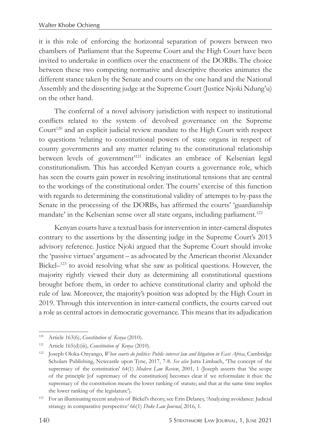it is this role of enforcing the horizontal separation of powers between two chambers of Parliament that the Supreme Court and the High Court have been invited to undertake in conflicts over the enactment of the DORBs. The choice between these two competing normative and descriptive theories animates the different stance taken by the Senate and courts on the one hand and the National Assembly and the dissenting judge at the Supreme Court (Justice Njoki Ndung'u) on the other hand.

The conferral of a novel advisory jurisdiction with respect to institutional conflicts related to the system of devolved governance on the Supreme Court<sup>120</sup> and an explicit judicial review mandate to the High Court with respect to questions 'relating to constitutional powers of state organs in respect of county governments and any matter relating to the constitutional relationship between levels of government<sup>121</sup> indicates an embrace of Kelsenian legal constitutionalism. This has accorded Kenyan courts a governance role, which has seen the courts gain power in resolving institutional tensions that are central to the workings of the constitutional order. The courts' exercise of this function with regards to determining the constitutional validity of attempts to by-pass the Senate in the processing of the DORBs, has affirmed the courts' 'guardianship mandate' in the Kelsenian sense over all state organs, including parliament.<sup>122</sup>

Kenyan courts have a textual basis for intervention in inter-cameral disputes contrary to the assertions by the dissenting judge in the Supreme Court's 2013 advisory reference. Justice Njoki argued that the Supreme Court should invoke the 'passive virtues' argument – as advocated by the American theorist Alexander Bickel–123 to avoid resolving what she saw as political questions. However, the majority rightly viewed their duty as determining all constitutional questions brought before them, in order to achieve constitutional clarity and uphold the rule of law. Moreover, the majority's position was adopted by the High Court in 2019. Through this intervention in inter-cameral conflicts, the courts carved out a role as central actors in democratic governance. This means that its adjudication

<sup>120</sup> Article 163(6), *Constitution of Kenya* (2010).

<sup>121</sup> Article 165(d)(iii), *Constitution of Kenya* (2010).

<sup>122</sup> Joseph Oloka-Onyango, *When courts do politics: Public interest law and litigation in East Africa*, Cambridge Scholars Publishing, Newcastle upon Tyne, 2017, 7-8. *See also* Jutta Limbach, 'The concept of the supremacy of the constitution' 64(1) *Modern Law Review*, 2001, 1 (Joseph asserts that 'the scope of the principle [of supremacy of the constitution] becomes clear if we reformulate it thus: the supremacy of the constitution means the lower ranking of statute; and that at the same time implies the lower ranking of the legislature').

<sup>123</sup> For an illuminating recent analysis of Bickel's theory, see Erin Delaney, 'Analyzing avoidance: Judicial strategy in comparative perspective' 66(1) *Duke Law Journal*, 2016, 1.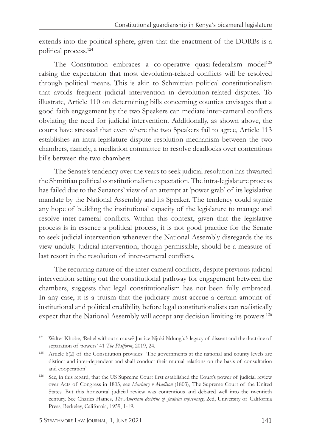extends into the political sphere, given that the enactment of the DORBs is a political process.124

The Constitution embraces a co-operative quasi-federalism model<sup>125</sup> raising the expectation that most devolution-related conflicts will be resolved through political means. This is akin to Schmittian political constitutionalism that avoids frequent judicial intervention in devolution-related disputes. To illustrate, Article 110 on determining bills concerning counties envisages that a good faith engagement by the two Speakers can mediate inter-cameral conflicts obviating the need for judicial intervention. Additionally, as shown above, the courts have stressed that even where the two Speakers fail to agree, Article 113 establishes an intra-legislature dispute resolution mechanism between the two chambers, namely, a mediation committee to resolve deadlocks over contentious bills between the two chambers.

The Senate's tendency over the years to seek judicial resolution has thwarted the Shmittian political constitutionalism expectation. The intra-legislature process has failed due to the Senators' view of an attempt at 'power grab' of its legislative mandate by the National Assembly and its Speaker. The tendency could stymie any hope of building the institutional capacity of the legislature to manage and resolve inter-cameral conflicts. Within this context, given that the legislative process is in essence a political process, it is not good practice for the Senate to seek judicial intervention whenever the National Assembly disregards the its view unduly. Judicial intervention, though permissible, should be a measure of last resort in the resolution of inter-cameral conflicts.

The recurring nature of the inter-cameral conflicts, despite previous judicial intervention setting out the constitutional pathway for engagement between the chambers, suggests that legal constitutionalism has not been fully embraced. In any case, it is a truism that the judiciary must accrue a certain amount of institutional and political credibility before legal constitutionalists can realistically expect that the National Assembly will accept any decision limiting its powers.<sup>126</sup>

<sup>124</sup> Walter Khobe, 'Rebel without a cause? Justice Njoki Ndung'u's legacy of dissent and the doctrine of separation of powers' 41 *The Platform*, 2019, 24.

<sup>125</sup> Article 6(2) of the Constitution provides: 'The governments at the national and county levels are distinct and inter-dependent and shall conduct their mutual relations on the basis of consultation and cooperation'.

<sup>&</sup>lt;sup>126</sup> See, in this regard, that the US Supreme Court first established the Court's power of judicial review over Acts of Congress in 1803, see *Marbury v Madison* (1803), The Supreme Court of the United States. But this horizontal judicial review was contentious and debated well into the twentieth century. See Charles Haines, *The American doctrine of judicial supremacy*, 2ed, University of California Press, Berkeley, California, 1959, 1-19.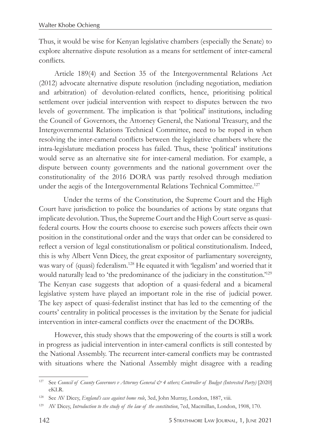Thus, it would be wise for Kenyan legislative chambers (especially the Senate) to explore alternative dispute resolution as a means for settlement of inter-cameral conflicts.

Article 189(4) and Section 35 of the Intergovernmental Relations Act (2012) advocate alternative dispute resolution (including negotiation, mediation and arbitration) of devolution-related conflicts, hence, prioritising political settlement over judicial intervention with respect to disputes between the two levels of government. The implication is that 'political' institutions, including the Council of Governors, the Attorney General, the National Treasury, and the Intergovernmental Relations Technical Committee, need to be roped in when resolving the inter-cameral conflicts between the legislative chambers where the intra-legislature mediation process has failed. Thus, these 'political' institutions would serve as an alternative site for inter-cameral mediation. For example, a dispute between county governments and the national government over the constitutionality of the 2016 DORA was partly resolved through mediation under the aegis of the Intergovernmental Relations Technical Committee.<sup>127</sup>

Under the terms of the Constitution, the Supreme Court and the High Court have jurisdiction to police the boundaries of actions by state organs that implicate devolution. Thus, the Supreme Court and the High Court serve as quasifederal courts. How the courts choose to exercise such powers affects their own position in the constitutional order and the ways that order can be considered to reflect a version of legal constitutionalism or political constitutionalism. Indeed, this is why Albert Venn Dicey, the great expositor of parliamentary sovereignty, was wary of (quasi) federalism.128 He equated it with 'legalism' and worried that it would naturally lead to 'the predominance of the judiciary in the constitution.'<sup>129</sup> The Kenyan case suggests that adoption of a quasi-federal and a bicameral legislative system have played an important role in the rise of judicial power. The key aspect of quasi-federalist instinct that has led to the cementing of the courts' centrality in political processes is the invitation by the Senate for judicial intervention in inter-cameral conflicts over the enactment of the DORBs.

However, this study shows that the empowering of the courts is still a work in progress as judicial intervention in inter-cameral conflicts is still contested by the National Assembly. The recurrent inter-cameral conflicts may be contrasted with situations where the National Assembly might disagree with a reading

<sup>127</sup> See *Council of County Governors v Attorney General & 4 others; Controller of Budget (Interested Party)* [2020] eKLR.

<sup>&</sup>lt;sup>128</sup> See AV Dicey, *England's case against home rule*, 3ed, John Murray, London, 1887, viii.

<sup>129</sup> AV Dicey, *Introduction to the study of the law of the constitution*, 7ed, Macmillan, London, 1908, 170.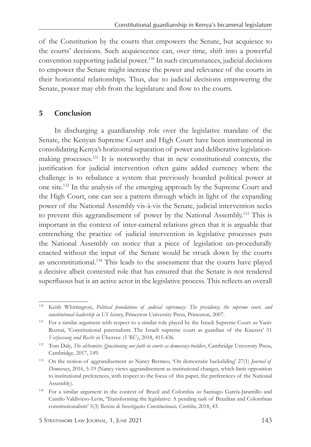of the Constitution by the courts that empowers the Senate, but acquiesce to the courts' decisions. Such acquiescence can, over time, shift into a powerful convention supporting judicial power.130 In such circumstances, judicial decisions to empower the Senate might increase the power and relevance of the courts in their horizontal relationships. Thus, due to judicial decisions empowering the Senate, power may ebb from the legislature and flow to the courts.

## **5 Conclusion**

In discharging a guardianship role over the legislative mandate of the Senate, the Kenyan Supreme Court and High Court have been instrumental in consolidating Kenya's horizontal separation of power and deliberative legislationmaking processes.131 It is noteworthy that in new constitutional contexts, the justification for judicial intervention often gains added currency where the challenge is to rebalance a system that previously hoarded political power at one site.132 In the analysis of the emerging approach by the Supreme Court and the High Court, one can see a pattern through which in light of the expanding power of the National Assembly vis-à-vis the Senate, judicial intervention seeks to prevent this aggrandisement of power by the National Assembly.133 This is important in the context of inter-cameral relations given that it is arguable that entrenching the practice of judicial intervention in legislative processes puts the National Assembly on notice that a piece of legislation un-procedurally enacted without the input of the Senate would be struck down by the courts as unconstitutional.134 This leads to the assessment that the courts have played a decisive albeit contested role that has ensured that the Senate is not rendered superfluous but is an active actor in the legislative process. This reflects an overall

<sup>130</sup> Keith Whittington, *Political foundations of judicial supremacy: The presidency, the supreme court, and constitutional leadership in US history,* Princeton University Press, Princeton, 2007.

<sup>131</sup> For a similar argument with respect to a similar role played by the Israeli Supreme Court *see* Yaniv Roznai, 'Constitutional paternalism: The Israeli supreme court as guardian of the Knesset' 51 *Verfassung und Recht in* Übersee *(VRÜ)*, 2018, 415-436.

<sup>132</sup> Tom Daly, *The alchemists: Questioning our faith in courts as democracy-builders*, Cambridge University Press, Cambridge, 2017, 149.

<sup>133</sup> On the notion of aggrandisement *see* Nancy Bermeo, 'On democratic backsliding' 27(1) *Journal of Democracy*, 2016, 5-19 (Nancy views aggrandisement as institutional changes, which limit opposition to institutional preferences, with respect to the focus of this paper, the preferences of the National Assembly).

<sup>134</sup> For a similar argument in the context of Brazil and Colombia *see* Santiago García-Jaramillo and Camilo Valdivieso-León, 'Transforming the legislative: A pending task of Brazilian and Colombian constitutionalism' 5(3) *Revista de Investigações Constitucionais, Curitiba,* 2018, 43.